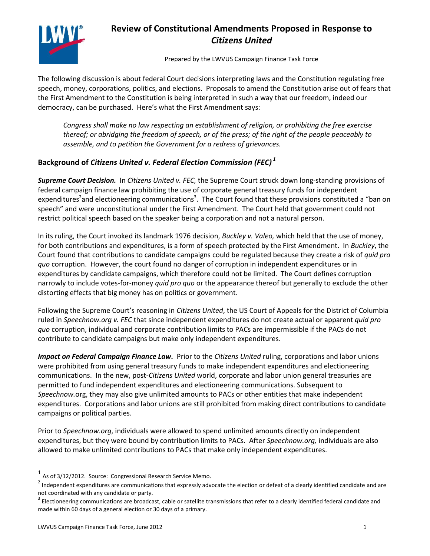

## **Review of Constitutional Amendments Proposed in Response to**  *Citizens United*

Prepared by the LWVUS Campaign Finance Task Force

The following discussion is about federal Court decisions interpreting laws and the Constitution regulating free speech, money, corporations, politics, and elections. Proposals to amend the Constitution arise out of fears that the First Amendment to the Constitution is being interpreted in such a way that our freedom, indeed our democracy, can be purchased. Here's what the First Amendment says:

*Congress shall make no law respecting an establishment of religion, or prohibiting the free exercise thereof; or abridging the freedom of speech, or of the press; of the right of the people peaceably to assemble, and to petition the Government for a redress of grievances.*

## **Background of** *Citizens United v. Federal Election Commission (FEC) <sup>1</sup>*

*Supreme Court Decision.* In *Citizens United v. FEC,* the Supreme Court struck down long-standing provisions of federal campaign finance law prohibiting the use of corporate general treasury funds for independent expenditures<sup>2</sup>and electioneering communications<sup>3</sup>. The Court found that these provisions constituted a "ban on speech" and were unconstitutional under the First Amendment. The Court held that government could not restrict political speech based on the speaker being a corporation and not a natural person.

In its ruling, the Court invoked its landmark 1976 decision, *Buckley v. Valeo,* which held that the use of money, for both contributions and expenditures, is a form of speech protected by the First Amendment. In *Buckley*, the Court found that contributions to candidate campaigns could be regulated because they create a risk of *quid pro quo* corruption. However, the court found no danger of corruption in independent expenditures or in expenditures by candidate campaigns, which therefore could not be limited. The Court defines corruption narrowly to include votes-for-money *quid pro quo* or the appearance thereof but generally to exclude the other distorting effects that big money has on politics or government.

Following the Supreme Court's reasoning in *Citizens United*, the US Court of Appeals for the District of Columbia ruled in *Speechnow.org v. FEC* that since independent expenditures do not create actual or apparent *quid pro quo* corruption, individual and corporate contribution limits to PACs are impermissible if the PACs do not contribute to candidate campaigns but make only independent expenditures.

*Impact on Federal Campaign Finance Law.* Prior to the *Citizens United* ruling, corporations and labor unions were prohibited from using general treasury funds to make independent expenditures and electioneering communications. In the new, post-*Citizens United* world, corporate and labor union general treasuries are permitted to fund independent expenditures and electioneering communications. Subsequent to *Speechnow.*org, they may also give unlimited amounts to PACs or other entities that make independent expenditures. Corporations and labor unions are still prohibited from making direct contributions to candidate campaigns or political parties.

Prior to *Speechnow.org*, individuals were allowed to spend unlimited amounts directly on independent expenditures, but they were bound by contribution limits to PACs. After *Speechnow.org,* individuals are also allowed to make unlimited contributions to PACs that make only independent expenditures.

 $\overline{a}$ 

 $<sup>1</sup>$  As of 3/12/2012. Source: Congressional Research Service Memo.</sup>

 $^2$  Independent expenditures are communications that expressly advocate the election or defeat of a clearly identified candidate and are not coordinated with any candidate or party.

 $^3$  Electioneering communications are broadcast, cable or satellite transmissions that refer to a clearly identified federal candidate and made within 60 days of a general election or 30 days of a primary.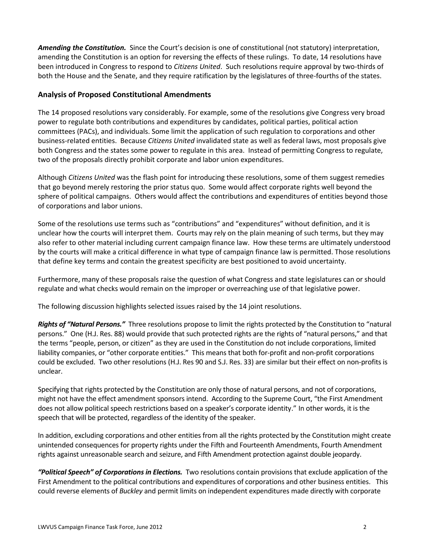*Amending the Constitution.* Since the Court's decision is one of constitutional (not statutory) interpretation, amending the Constitution is an option for reversing the effects of these rulings. To date, 14 resolutions have been introduced in Congress to respond to *Citizens United*. Such resolutions require approval by two-thirds of both the House and the Senate, and they require ratification by the legislatures of three-fourths of the states.

## **Analysis of Proposed Constitutional Amendments**

The 14 proposed resolutions vary considerably. For example, some of the resolutions give Congress very broad power to regulate both contributions and expenditures by candidates, political parties, political action committees (PACs), and individuals. Some limit the application of such regulation to corporations and other business-related entities. Because *Citizens United* invalidated state as well as federal laws, most proposals give both Congress and the states some power to regulate in this area. Instead of permitting Congress to regulate, two of the proposals directly prohibit corporate and labor union expenditures.

Although *Citizens United* was the flash point for introducing these resolutions, some of them suggest remedies that go beyond merely restoring the prior status quo. Some would affect corporate rights well beyond the sphere of political campaigns. Others would affect the contributions and expenditures of entities beyond those of corporations and labor unions.

Some of the resolutions use terms such as "contributions" and "expenditures" without definition, and it is unclear how the courts will interpret them. Courts may rely on the plain meaning of such terms, but they may also refer to other material including current campaign finance law. How these terms are ultimately understood by the courts will make a critical difference in what type of campaign finance law is permitted. Those resolutions that define key terms and contain the greatest specificity are best positioned to avoid uncertainty.

Furthermore, many of these proposals raise the question of what Congress and state legislatures can or should regulate and what checks would remain on the improper or overreaching use of that legislative power.

The following discussion highlights selected issues raised by the 14 joint resolutions.

*Rights of "Natural Persons."* Three resolutions propose to limit the rights protected by the Constitution to "natural persons." One (H.J. Res. 88) would provide that such protected rights are the rights of "natural persons," and that the terms "people, person, or citizen" as they are used in the Constitution do not include corporations, limited liability companies, or "other corporate entities." This means that both for-profit and non-profit corporations could be excluded. Two other resolutions (H.J. Res 90 and S.J. Res. 33) are similar but their effect on non-profits is unclear.

Specifying that rights protected by the Constitution are only those of natural persons, and not of corporations, might not have the effect amendment sponsors intend. According to the Supreme Court, "the First Amendment does not allow political speech restrictions based on a speaker's corporate identity." In other words, it is the speech that will be protected, regardless of the identity of the speaker.

In addition, excluding corporations and other entities from all the rights protected by the Constitution might create unintended consequences for property rights under the Fifth and Fourteenth Amendments, Fourth Amendment rights against unreasonable search and seizure, and Fifth Amendment protection against double jeopardy.

*"Political Speech" of Corporations in Elections.* Two resolutions contain provisions that exclude application of the First Amendment to the political contributions and expenditures of corporations and other business entities. This could reverse elements of *Buckley* and permit limits on independent expenditures made directly with corporate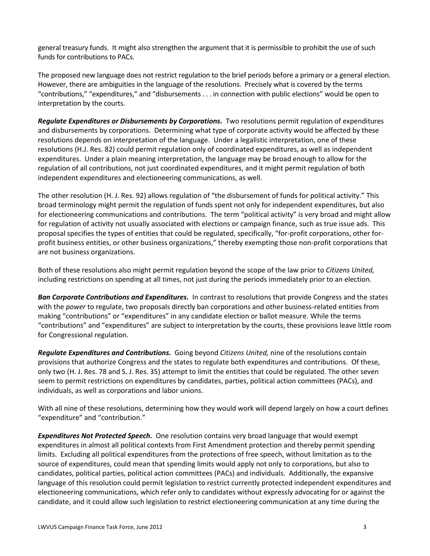general treasury funds. It might also strengthen the argument that it is permissible to prohibit the use of such funds for contributions to PACs.

The proposed new language does not restrict regulation to the brief periods before a primary or a general election. However, there are ambiguities in the language of the resolutions. Precisely what is covered by the terms "contributions," "expenditures," and "disbursements . . . in connection with public elections" would be open to interpretation by the courts.

*Regulate Expenditures or Disbursements by Corporations.* Two resolutions permit regulation of expenditures and disbursements by corporations. Determining what type of corporate activity would be affected by these resolutions depends on interpretation of the language. Under a legalistic interpretation, one of these resolutions (H.J. Res. 82) could permit regulation only of coordinated expenditures, as well as independent expenditures. Under a plain meaning interpretation, the language may be broad enough to allow for the regulation of all contributions, not just coordinated expenditures, and it might permit regulation of both independent expenditures and electioneering communications, as well.

The other resolution (H. J. Res. 92) allows regulation of "the disbursement of funds for political activity." This broad terminology might permit the regulation of funds spent not only for independent expenditures, but also for electioneering communications and contributions. The term "political activity" is very broad and might allow for regulation of activity not usually associated with elections or campaign finance, such as true issue ads. This proposal specifies the types of entities that could be regulated, specifically, "for-profit corporations, other forprofit business entities, or other business organizations," thereby exempting those non-profit corporations that are not business organizations.

Both of these resolutions also might permit regulation beyond the scope of the law prior to *Citizens United,* including restrictions on spending at all times, not just during the periods immediately prior to an election.

*Ban Corporate Contributions and Expenditures.* In contrast to resolutions that provide Congress and the states with the *power* to regulate, two proposals directly ban corporations and other business-related entities from making "contributions" or "expenditures" in any candidate election or ballot measure. While the terms "contributions" and "expenditures" are subject to interpretation by the courts, these provisions leave little room for Congressional regulation.

*Regulate Expenditures and Contributions.* Going beyond *Citizens United,* nine of the resolutions contain provisions that authorize Congress and the states to regulate both expenditures and contributions. Of these, only two (H. J. Res. 78 and S. J. Res. 35) attempt to limit the entities that could be regulated. The other seven seem to permit restrictions on expenditures by candidates, parties, political action committees (PACs), and individuals, as well as corporations and labor unions.

With all nine of these resolutions, determining how they would work will depend largely on how a court defines "expenditure" and "contribution."

*Expenditures Not Protected Speech.* One resolution contains very broad language that would exempt expenditures in almost all political contexts from First Amendment protection and thereby permit spending limits. Excluding all political expenditures from the protections of free speech, without limitation as to the source of expenditures, could mean that spending limits would apply not only to corporations, but also to candidates, political parties, political action committees (PACs) and individuals. Additionally, the expansive language of this resolution could permit legislation to restrict currently protected independent expenditures and electioneering communications, which refer only to candidates without expressly advocating for or against the candidate, and it could allow such legislation to restrict electioneering communication at any time during the